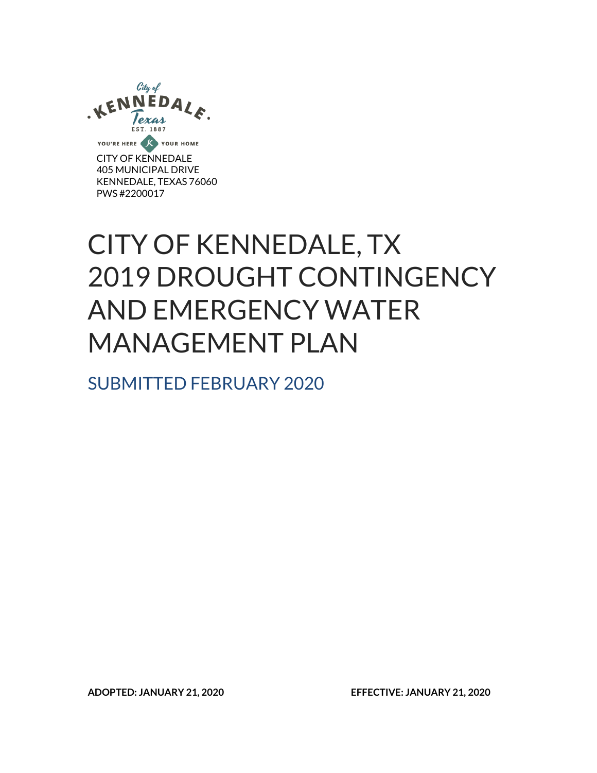

CITY OF KENNEDALE 405 MUNICIPAL DRIVE KENNEDALE, TEXAS 76060 PWS #2200017

# CITY OF KENNEDALE, TX 2019 DROUGHT CONTINGENCY AND EMERGENCY WATER MANAGEMENT PLAN

SUBMITTED FEBRUARY 2020

**ADOPTED: JANUARY 21, 2020 EFFECTIVE: JANUARY 21, 2020**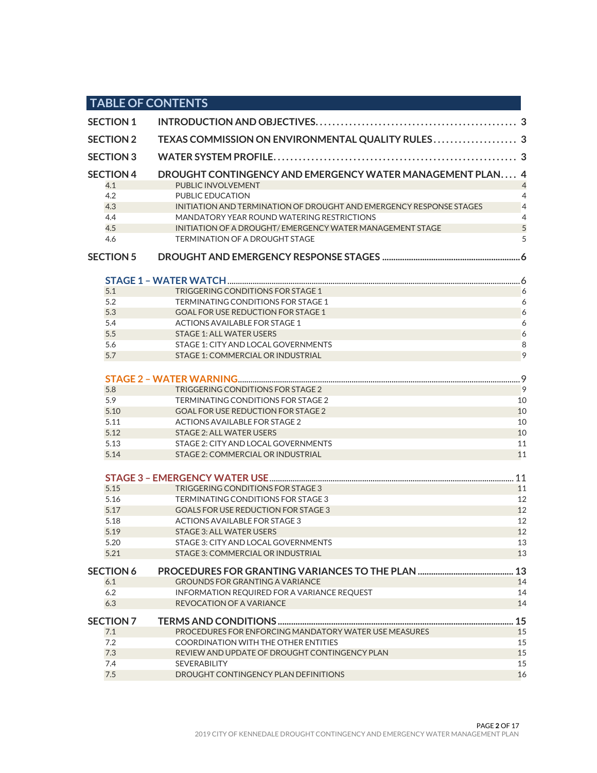|                         | <b>TABLE OF CONTENTS</b>                                                        |          |
|-------------------------|---------------------------------------------------------------------------------|----------|
| <b>SECTION 1</b>        |                                                                                 |          |
| <b>SECTION 2</b>        |                                                                                 |          |
| <b>SECTION 3</b>        |                                                                                 |          |
| <b>SECTION 4</b><br>4.1 | DROUGHT CONTINGENCY AND EMERGENCY WATER MANAGEMENT PLAN 4<br>PUBLIC INVOLVEMENT |          |
| 4.2                     | PUBLIC EDUCATION                                                                | 4        |
| 4.3                     | INITIATION AND TERMINATION OF DROUGHT AND EMERGENCY RESPONSE STAGES             | 4        |
| 4.4                     | MANDATORY YEAR ROUND WATERING RESTRICTIONS                                      | 4        |
| 4.5                     | INITIATION OF A DROUGHT/ EMERGENCY WATER MANAGEMENT STAGE                       | 5        |
| 4.6                     | <b>TERMINATION OF A DROUGHT STAGE</b>                                           | 5        |
| <b>SECTION 5</b>        |                                                                                 |          |
|                         |                                                                                 |          |
| 5.1                     | TRIGGERING CONDITIONS FOR STAGE 1                                               | 6        |
| 5.2                     | TERMINATING CONDITIONS FOR STAGE 1                                              | 6        |
| 5.3                     | <b>GOAL FOR USE REDUCTION FOR STAGE 1</b>                                       | 6        |
| 5.4                     | ACTIONS AVAILABLE FOR STAGE 1                                                   | 6        |
| 5.5                     | <b>STAGE 1: ALL WATER USERS</b>                                                 | 6        |
| 5.6                     | STAGE 1: CITY AND LOCAL GOVERNMENTS                                             | 8        |
| 5.7                     | STAGE 1: COMMERCIAL OR INDUSTRIAL                                               | 9        |
|                         |                                                                                 | .9       |
| 5.8                     | TRIGGERING CONDITIONS FOR STAGE 2                                               | 9        |
| 5.9                     | TERMINATING CONDITIONS FOR STAGE 2                                              | 10       |
| 5.10                    | <b>GOAL FOR USE REDUCTION FOR STAGE 2</b>                                       | 10       |
| 5.11                    | <b>ACTIONS AVAILABLE FOR STAGE 2</b>                                            | 10       |
| 5.12                    | <b>STAGE 2: ALL WATER USERS</b>                                                 | 10       |
| 5.13                    | STAGE 2: CITY AND LOCAL GOVERNMENTS                                             | 11       |
| 5.14                    | STAGE 2: COMMERCIAL OR INDUSTRIAL                                               | 11       |
|                         |                                                                                 | 11       |
| 5.15                    | TRIGGERING CONDITIONS FOR STAGE 3                                               | 11       |
| 5.16                    | TERMINATING CONDITIONS FOR STAGE 3                                              | 12       |
| 5.17                    | <b>GOALS FOR USE REDUCTION FOR STAGE 3</b>                                      | 12       |
| 5.18                    | <b>ACTIONS AVAILABLE FOR STAGE 3</b>                                            | 12       |
| 5.19                    | <b>STAGE 3: ALL WATER USERS</b>                                                 | 12       |
| 5.20                    | STAGE 3: CITY AND LOCAL GOVERNMENTS                                             | 13       |
| 5.21                    | STAGE 3: COMMERCIAL OR INDUSTRIAL                                               | 13       |
| <b>SECTION 6</b>        | PROCEDURES FOR GRANTING VARIANCES TO THE PLAN                                   | 13       |
| 6.1                     | <b>GROUNDS FOR GRANTING A VARIANCE</b>                                          | 14       |
| 6.2<br>6.3              | INFORMATION REQUIRED FOR A VARIANCE REQUEST<br>REVOCATION OF A VARIANCE         | 14<br>14 |
|                         |                                                                                 |          |
| <b>SECTION 7</b>        | PROCEDURES FOR ENFORCING MANDATORY WATER USE MEASURES                           | 15<br>15 |
| 7.1<br>7.2              | <b>COORDINATION WITH THE OTHER ENTITIES</b>                                     | 15       |
| 7.3                     | REVIEW AND UPDATE OF DROUGHT CONTINGENCY PLAN                                   | 15       |
| 7.4                     | <b>SEVERABILITY</b>                                                             | 15       |
| 7.5                     | DROUGHT CONTINGENCY PLAN DEFINITIONS                                            | 16       |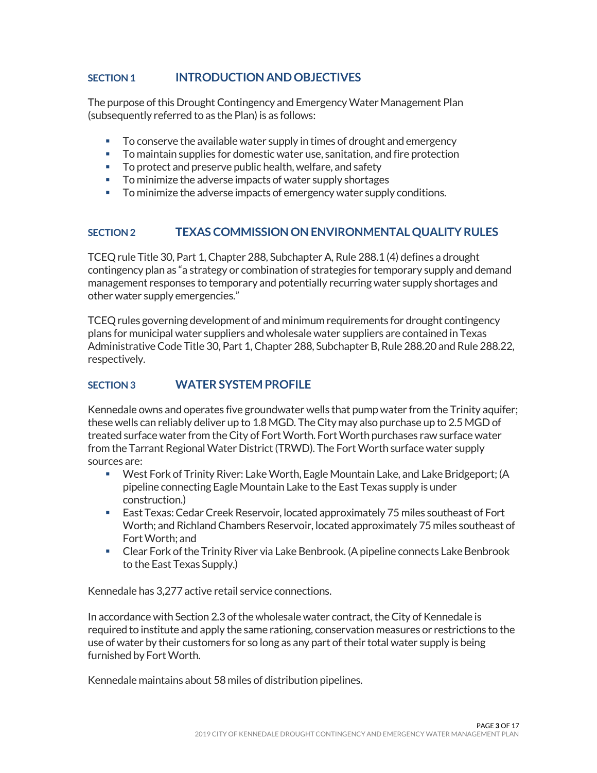# <span id="page-2-0"></span>**SECTION 1 INTRODUCTION AND OBJECTIVES**

The purpose of this Drought Contingency and Emergency Water Management Plan (subsequently referred to as the Plan) is as follows:

- To conserve the available water supply in times of drought and emergency
- To maintain supplies for domestic water use, sanitation, and fire protection
- **To protect and preserve public health, welfare, and safety**
- **To minimize the adverse impacts of water supply shortages**
- To minimize the adverse impacts of emergency water supply conditions.

# <span id="page-2-1"></span>**SECTION 2 TEXAS COMMISSION ON ENVIRONMENTAL QUALITY RULES**

TCEQ rule Title 30, Part 1, Chapter 288, Subchapter A, Rule 288.1 (4) defines a drought contingency plan as "a strategy or combination of strategies for temporary supply and demand management responses to temporary and potentially recurring water supply shortages and other water supply emergencies."

TCEQ rules governing development of and minimum requirements for drought contingency plans for municipal water suppliers and wholesale water suppliers are contained in Texas Administrative Code Title 30, Part 1, Chapter 288, Subchapter B, Rule 288.20 and Rule 288.22, respectively.

# <span id="page-2-2"></span>**SECTION 3 WATER SYSTEM PROFILE**

Kennedale owns and operates five groundwater wells that pump water from the Trinity aquifer; these wells can reliably deliver up to 1.8 MGD. The City may also purchase up to 2.5 MGD of treated surface water from the City of Fort Worth. Fort Worth purchases raw surface water from the Tarrant Regional Water District (TRWD). The Fort Worth surface water supply sources are:

- West Fork of Trinity River: Lake Worth, Eagle Mountain Lake, and Lake Bridgeport; (A pipeline connecting Eagle Mountain Lake to the East Texas supply is under construction.)
- East Texas: Cedar Creek Reservoir, located approximately 75 miles southeast of Fort Worth; and Richland Chambers Reservoir, located approximately 75 miles southeast of Fort Worth; and
- Clear Fork of the Trinity River via Lake Benbrook. (A pipeline connects Lake Benbrook to the East Texas Supply.)

Kennedale has 3,277 active retail service connections.

In accordance with Section 2.3 of the wholesale water contract, the City of Kennedale is required to institute and apply the same rationing, conservation measures or restrictions to the use of water by their customers for so long as any part of their total water supply is being furnished by Fort Worth.

Kennedale maintains about 58 miles of distribution pipelines.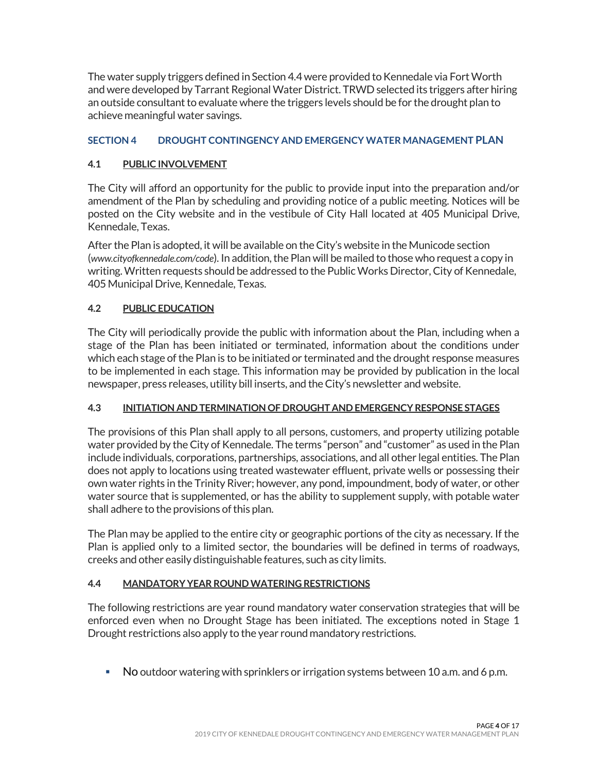The water supply triggers defined in Section 4.4 were provided to Kennedale via Fort Worth and were developed by Tarrant Regional Water District. TRWD selected its triggers after hiring an outside consultant to evaluate where the triggers levels should be for the drought plan to achieve meaningful water savings.

# <span id="page-3-0"></span>**SECTION 4 DROUGHT CONTINGENCY AND EMERGENCY WATER MANAGEMENT PLAN**

# <span id="page-3-1"></span>**4.1 PUBLIC INVOLVEMENT**

The City will afford an opportunity for the public to provide input into the preparation and/or amendment of the Plan by scheduling and providing notice of a public meeting. Notices will be posted on the City website and in the vestibule of City Hall located at 405 Municipal Drive, Kennedale, Texas.

After the Plan is adopted, it will be available on the City's website in the Municode section (*[www.cityofkennedale.com/code](http://www.cityofkennedale.com/code)*). In addition, the Plan will be mailed to those who request a copy in writing.Written requests should be addressed to the Public Works Director, City of Kennedale, 405 Municipal Drive, Kennedale, Texas.

# <span id="page-3-2"></span>**4.2 PUBLIC EDUCATION**

The City will periodically provide the public with information about the Plan, including when a stage of the Plan has been initiated or terminated, information about the conditions under which each stage of the Plan is to be initiated or terminated and the drought response measures to be implemented in each stage. This information may be provided by publication in the local newspaper, press releases, utility bill inserts, and the City's newsletter and website.

## <span id="page-3-3"></span>**4.3 INITIATION AND TERMINATION OF DROUGHT AND EMERGENCY RESPONSE STAGES**

The provisions of this Plan shall apply to all persons, customers, and property utilizing potable water provided by the City of Kennedale. The terms "person" and "customer" as used in the Plan include individuals, corporations, partnerships, associations, and all other legal entities. The Plan does not apply to locations using treated wastewater effluent, private wells or possessing their own water rights in the Trinity River; however, any pond, impoundment, body of water, or other water source that is supplemented, or has the ability to supplement supply, with potable water shall adhere to the provisions of this plan.

The Plan may be applied to the entire city or geographic portions of the city as necessary. If the Plan is applied only to a limited sector, the boundaries will be defined in terms of roadways, creeks and other easily distinguishable features, such as city limits.

# <span id="page-3-4"></span>**4.4 MANDATORY YEAR ROUND WATERING RESTRICTIONS**

The following restrictions are year round mandatory water conservation strategies that will be enforced even when no Drought Stage has been initiated. The exceptions noted in Stage 1 Drought restrictions also apply to the year round mandatory restrictions.

No outdoor watering with sprinklers or irrigation systems between 10 a.m. and 6 p.m.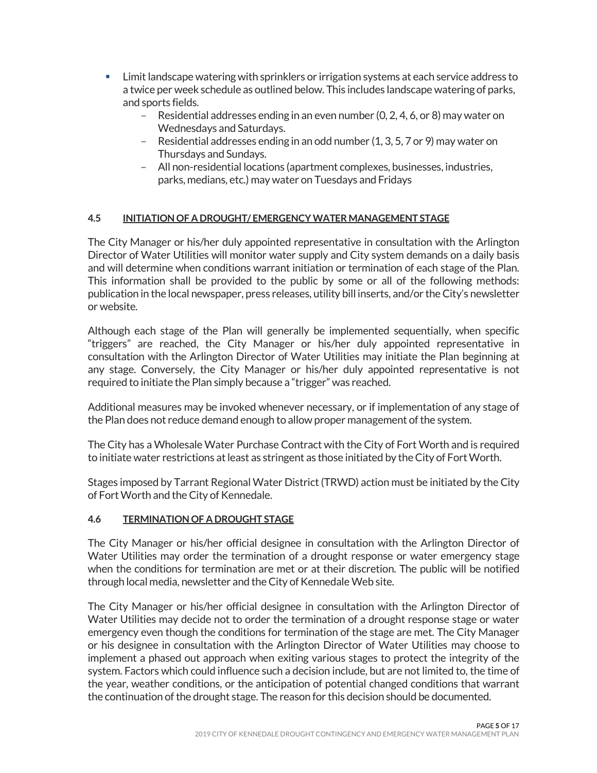- Limit landscape watering with sprinklers or irrigation systems at each service address to a twice per week schedule as outlined below. This includes landscape watering of parks, and sports fields.
	- Residential addresses ending in an even number (0, 2, 4, 6, or 8) may water on Wednesdays and Saturdays.
	- Residential addresses ending in an odd number (1, 3, 5, 7 or 9) may water on Thursdays and Sundays.
	- All non-residential locations (apartment complexes, businesses, industries, parks, medians, etc.) may water on Tuesdays and Fridays

# <span id="page-4-0"></span>**4.5 INITIATION OF A DROUGHT/ EMERGENCY WATER MANAGEMENT STAGE**

The City Manager or his/her duly appointed representative in consultation with the Arlington Director of Water Utilities will monitor water supply and City system demands on a daily basis and will determine when conditions warrant initiation or termination of each stage of the Plan. This information shall be provided to the public by some or all of the following methods: publication in the local newspaper, press releases, utility bill inserts, and/or the City's newsletter or website.

Although each stage of the Plan will generally be implemented sequentially, when specific "triggers" are reached, the City Manager or his/her duly appointed representative in consultation with the Arlington Director of Water Utilities may initiate the Plan beginning at any stage. Conversely, the City Manager or his/her duly appointed representative is not required to initiate the Plan simply because a "trigger" was reached.

Additional measures may be invoked whenever necessary, or if implementation of any stage of the Plan does not reduce demand enough to allow proper management of the system.

The City has a Wholesale Water Purchase Contract with the City of Fort Worth and is required to initiate water restrictions at least as stringent as those initiated by the City of Fort Worth.

Stages imposed by Tarrant Regional Water District (TRWD) action must be initiated by the City of Fort Worth and the City of Kennedale.

## <span id="page-4-1"></span>**4.6 TERMINATION OF A DROUGHT STAGE**

The City Manager or his/her official designee in consultation with the Arlington Director of Water Utilities may order the termination of a drought response or water emergency stage when the conditions for termination are met or at their discretion. The public will be notified through local media, newsletter and the City of Kennedale Web site.

The City Manager or his/her official designee in consultation with the Arlington Director of Water Utilities may decide not to order the termination of a drought response stage or water emergency even though the conditions for termination of the stage are met. The City Manager or his designee in consultation with the Arlington Director of Water Utilities may choose to implement a phased out approach when exiting various stages to protect the integrity of the system. Factors which could influence such a decision include, but are not limited to, the time of the year, weather conditions, or the anticipation of potential changed conditions that warrant the continuation of the drought stage. The reason for this decision should be documented.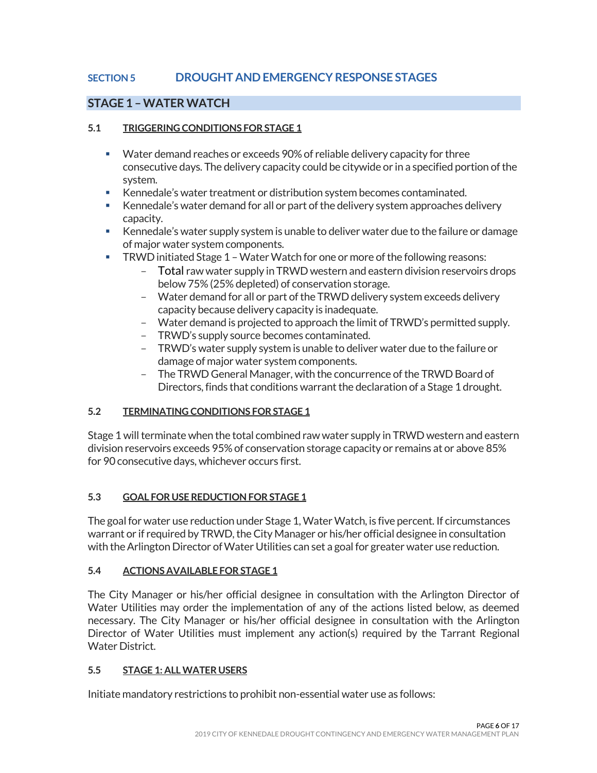# <span id="page-5-0"></span>**SECTION 5 DROUGHT AND EMERGENCY RESPONSE STAGES**

# <span id="page-5-1"></span>**STAGE 1 –WATER WATCH**

#### <span id="page-5-2"></span>**5.1 TRIGGERING CONDITIONS FOR STAGE 1**

- Water demand reaches or exceeds 90% of reliable delivery capacity for three consecutive days. The delivery capacity could be citywide or in a specified portion of the system.
- Kennedale's water treatment or distribution system becomes contaminated.
- Kennedale's water demand for all or part of the delivery system approaches delivery capacity.
- Kennedale's water supply system is unable to deliver water due to the failure or damage of major water system components.
- **TRWD** initiated Stage 1 Water Watch for one or more of the following reasons:
	- Total raw water supply in TRWD western and eastern division reservoirs drops below 75% (25% depleted) of conservation storage.
	- Water demand for all or part of the TRWD delivery system exceeds delivery capacity because delivery capacity is inadequate.
	- Water demand is projected to approach the limit of TRWD's permitted supply.
	- TRWD's supply source becomes contaminated.
	- TRWD's water supply system is unable to deliver water due to the failure or damage of major water system components.
	- The TRWD General Manager, with the concurrence of the TRWD Board of Directors, finds that conditions warrant the declaration of a Stage 1 drought.

## <span id="page-5-3"></span>**5.2 TERMINATING CONDITIONS FOR STAGE 1**

Stage 1 will terminate when the total combined raw water supply in TRWD western and eastern division reservoirs exceeds 95% of conservation storage capacity or remains at or above 85% for 90 consecutive days, whichever occurs first.

## <span id="page-5-4"></span>**5.3 GOAL FOR USE REDUCTION FOR STAGE 1**

The goal for water use reduction under Stage 1, Water Watch, is five percent. If circumstances warrant or if required by TRWD, the City Manager or his/her official designee in consultation with the Arlington Director of Water Utilities can set a goal for greater water use reduction.

#### <span id="page-5-5"></span>**5.4 ACTIONS AVAILABLE FOR STAGE 1**

The City Manager or his/her official designee in consultation with the Arlington Director of Water Utilities may order the implementation of any of the actions listed below, as deemed necessary. The City Manager or his/her official designee in consultation with the Arlington Director of Water Utilities must implement any action(s) required by the Tarrant Regional Water District.

## <span id="page-5-6"></span>**5.5 STAGE 1: ALL WATER USERS**

Initiate mandatory restrictions to prohibit non-essential water use as follows: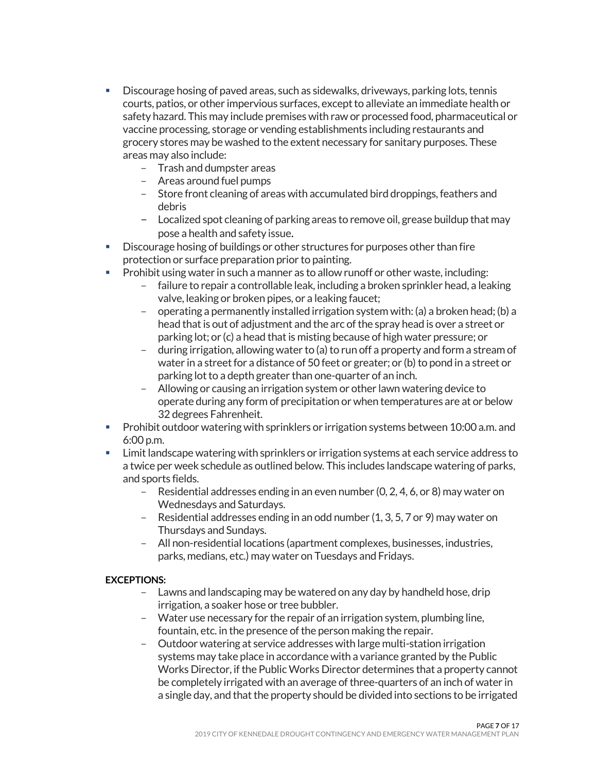- Discourage hosing of paved areas, such as sidewalks, driveways, parking lots, tennis courts, patios, or other impervious surfaces, except to alleviate an immediate health or safety hazard. This may include premises with raw or processed food, pharmaceutical or vaccine processing, storage or vending establishments including restaurants and grocery stores may be washed to the extent necessary for sanitary purposes. These areas may also include:
	- Trash and dumpster areas
	- Areas around fuel pumps
	- Store front cleaning of areas with accumulated bird droppings, feathers and debris
	- Localized spot cleaning of parking areas to remove oil, grease buildup that may pose a health and safety issue.
- Discourage hosing of buildings or other structures for purposes other than fire protection or surface preparation prior to painting.
- **Prohibit using water in such a manner as to allow runoff or other waste, including:** 
	- failure to repair a controllable leak, including a broken sprinkler head, a leaking valve, leaking or broken pipes, or a leaking faucet;
	- operating a permanently installed irrigation system with: (a) a broken head; (b) a head that is out of adjustment and the arc of the spray head is over a street or parking lot; or (c) a head that is misting because of high water pressure; or
	- during irrigation, allowing water to (a) to run off a property and form a stream of water in a street for a distance of 50 feet or greater; or (b) to pond in a street or parking lot to a depth greater than one-quarter of an inch.
	- Allowing or causing an irrigation system or other lawn watering device to operate during any form of precipitation or when temperatures are at or below 32 degrees Fahrenheit.
- **Prohibit outdoor watering with sprinklers or irrigation systems between 10:00 a.m. and** 6:00 p.m.
- Limit landscape watering with sprinklers or irrigation systems at each service address to a twice per week schedule as outlined below. This includes landscape watering of parks, and sports fields.
	- Residential addresses ending in an even number (0, 2, 4, 6, or 8) may water on Wednesdays and Saturdays.
	- Residential addresses ending in an odd number (1, 3, 5, 7 or 9) may water on Thursdays and Sundays.
	- All non-residential locations (apartment complexes, businesses, industries, parks, medians, etc.) may water on Tuesdays and Fridays.

## **EXCEPTIONS:**

- Lawns and landscaping may be watered on any day by handheld hose, drip irrigation, a soaker hose or tree bubbler.
- Water use necessary for the repair of an irrigation system, plumbing line, fountain, etc. in the presence of the person making the repair.
- Outdoor watering at service addresses with large multi-station irrigation systems may take place in accordance with a variance granted by the Public Works Director, if the Public Works Director determines that a property cannot be completely irrigated with an average of three-quarters of an inch of water in a single day, and that the property should be divided into sections to be irrigated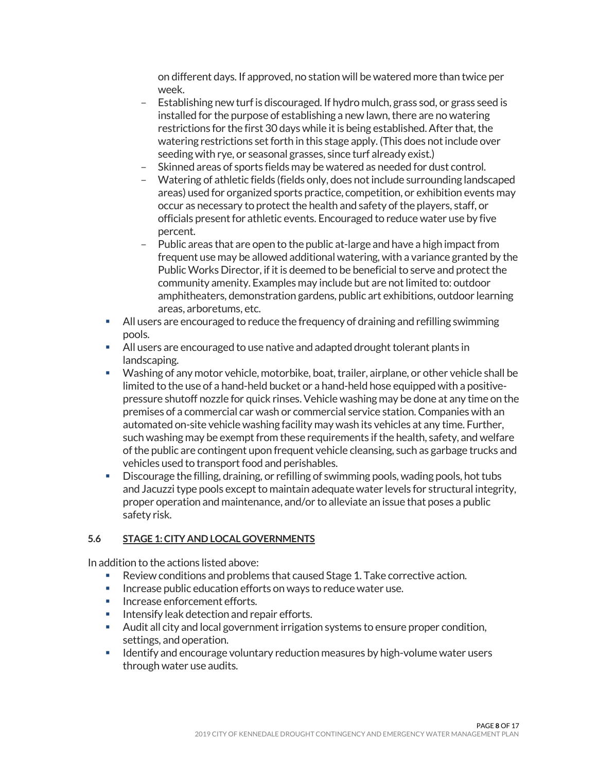on different days. If approved, no station will be watered more than twice per week.

- Establishing new turf is discouraged. If hydro mulch, grass sod, or grass seed is installed for the purpose of establishing a new lawn, there are no watering restrictions for the first 30 days while it is being established. After that, the watering restrictions set forth in this stage apply. (This does not include over seeding with rye, or seasonal grasses, since turf already exist.)
- Skinned areas of sports fields may be watered as needed for dust control.
- Watering of athletic fields (fields only, does not include surrounding landscaped areas) used for organized sports practice, competition, or exhibition events may occur as necessary to protect the health and safety of the players, staff, or officials present for athletic events. Encouraged to reduce water use by five percent.
- Public areas that are open to the public at-large and have a high impact from frequent use may be allowed additional watering, with a variance granted by the Public Works Director, if it is deemed to be beneficial to serve and protect the community amenity. Examples may include but are not limited to: outdoor amphitheaters, demonstration gardens, public art exhibitions, outdoor learning areas, arboretums, etc.
- **All users are encouraged to reduce the frequency of draining and refilling swimming** pools.
- All users are encouraged to use native and adapted drought tolerant plants in landscaping.
- Washing of any motor vehicle, motorbike, boat, trailer, airplane, or other vehicle shall be limited to the use of a hand-held bucket or a hand-held hose equipped with a positivepressure shutoff nozzle for quick rinses. Vehicle washing may be done at any time on the premises of a commercial car wash or commercial service station. Companies with an automated on-site vehicle washing facility may wash its vehicles at any time. Further, such washing may be exempt from these requirements if the health, safety, and welfare of the public are contingent upon frequent vehicle cleansing, such as garbage trucks and vehicles used to transport food and perishables.
- Discourage the filling, draining, or refilling of swimming pools, wading pools, hot tubs and Jacuzzi type pools except to maintain adequate water levels for structural integrity, proper operation and maintenance, and/or to alleviate an issue that poses a public safety risk.

## <span id="page-7-0"></span>**5.6 STAGE 1: CITY AND LOCAL GOVERNMENTS**

In addition to the actions listed above:

- Review conditions and problems that caused Stage 1. Take corrective action.
- **Increase public education efforts on ways to reduce water use.**
- **Increase enforcement efforts.**
- **Intensify leak detection and repair efforts.**
- Audit all city and local government irrigation systems to ensure proper condition, settings, and operation.
- **IDENTIFY And Encourage voluntary reduction measures by high-volume water users** through water use audits.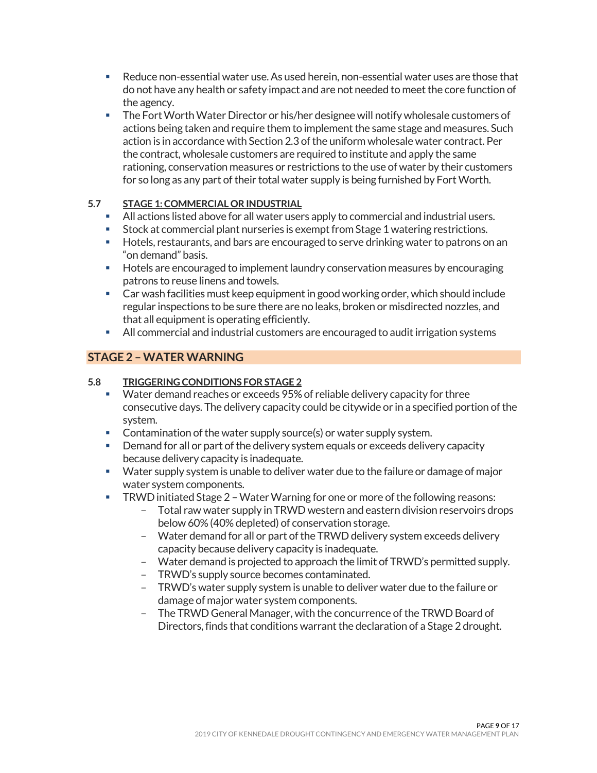- Reduce non-essential water use. As used herein, non-essential water uses are those that do not have any health or safety impact and are not needed to meet the core function of the agency.
- The Fort Worth Water Director or his/her designee will notify wholesale customers of actions being taken and require them to implement the same stage and measures. Such action is in accordance with Section 2.3 of the uniform wholesale water contract. Per the contract, wholesale customers are required to institute and apply the same rationing, conservation measures or restrictions to the use of water by their customers for so long as any part of their total water supply is being furnished by Fort Worth.

# <span id="page-8-0"></span>**5.7 STAGE 1: COMMERCIAL OR INDUSTRIAL**

- All actions listed above for all water users apply to commercial and industrial users.
- Stock at commercial plant nurseries is exempt from Stage 1 watering restrictions.
- **Hotels, restaurants, and bars are encouraged to serve drinking water to patrons on an** "on demand" basis.
- **Hotels are encouraged to implement laundry conservation measures by encouraging** patrons to reuse linens and towels.
- Car wash facilities must keep equipment in good working order, which should include regular inspections to be sure there are no leaks, broken or misdirected nozzles, and that all equipment is operating efficiently.
- All commercial and industrial customers are encouraged to audit irrigation systems

# <span id="page-8-1"></span>**STAGE 2 –WATER WARNING**

## <span id="page-8-2"></span>**5.8 TRIGGERING CONDITIONS FOR STAGE 2**

- **Water demand reaches or exceeds 95% of reliable delivery capacity for three** consecutive days. The delivery capacity could be citywide or in a specified portion of the system.
- **Contamination of the water supply source(s) or water supply system.**
- **Demand for all or part of the delivery system equals or exceeds delivery capacity** because delivery capacity is inadequate.
- **Water supply system is unable to deliver water due to the failure or damage of major** water system components.
- TRWDinitiated Stage 2 –Water Warning for one or more of the following reasons:
	- Total raw water supply in TRWD western and eastern division reservoirs drops below 60% (40% depleted) of conservation storage.
	- Water demand for all or part of the TRWD delivery system exceeds delivery capacity because delivery capacity is inadequate.
	- Water demand is projected to approach the limit of TRWD's permitted supply.
	- TRWD's supply source becomes contaminated.
	- TRWD's water supply system is unable to deliver water due to the failure or damage of major water system components.
	- The TRWD General Manager, with the concurrence of the TRWD Board of Directors, finds that conditions warrant the declaration of a Stage 2 drought.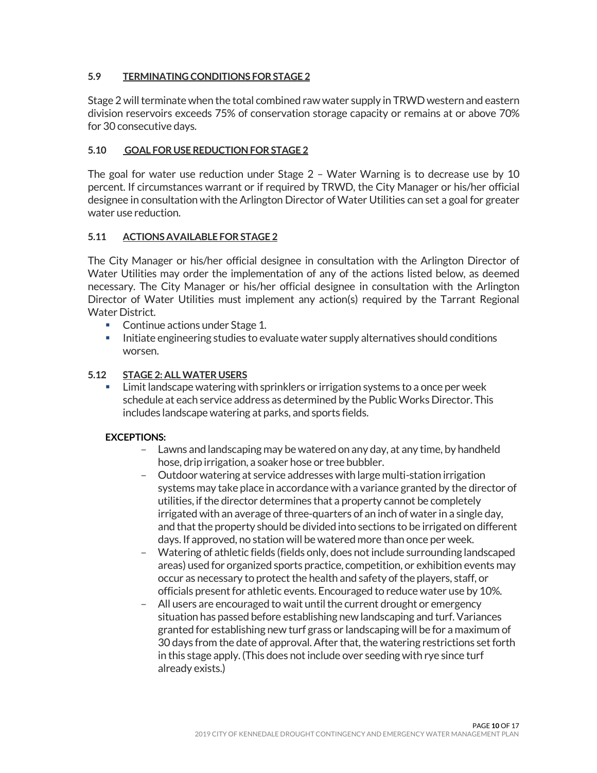#### <span id="page-9-0"></span>**5.9 TERMINATING CONDITIONS FOR STAGE 2**

Stage 2 will terminate when the total combined raw water supply in TRWD western and eastern division reservoirs exceeds 75% of conservation storage capacity or remains at or above 70% for 30 consecutive days.

#### <span id="page-9-1"></span>**5.10 GOAL FOR USE REDUCTION FOR STAGE 2**

The goal for water use reduction under Stage 2 – Water Warning is to decrease use by 10 percent. If circumstances warrant or if required by TRWD, the City Manager or his/her official designee in consultation with the Arlington Director of Water Utilities can set a goal for greater water use reduction.

#### <span id="page-9-2"></span>**5.11 ACTIONS AVAILABLE FOR STAGE 2**

The City Manager or his/her official designee in consultation with the Arlington Director of Water Utilities may order the implementation of any of the actions listed below, as deemed necessary. The City Manager or his/her official designee in consultation with the Arlington Director of Water Utilities must implement any action(s) required by the Tarrant Regional Water District.

- Continue actions under Stage 1.
- **Initiate engineering studies to evaluate water supply alternatives should conditions** worsen.

#### <span id="page-9-3"></span>**5.12 STAGE 2: ALL WATER USERS**

 Limit landscape watering with sprinklers or irrigation systems to a once per week schedule at each service address as determined by the Public Works Director. This includes landscape watering at parks, and sports fields.

#### **EXCEPTIONS:**

- Lawns and landscaping may be watered on any day, at any time, by handheld hose, drip irrigation, a soaker hose or tree bubbler.
- Outdoor watering at service addresses with large multi-station irrigation systems may take place in accordance with a variance granted by the director of utilities, if the director determines that a property cannot be completely irrigated with an average of three-quarters of an inch of water in a single day, and that the property should be divided into sections to be irrigated on different days. If approved, no station will be watered more than once per week.
- Watering of athletic fields (fields only, does not include surrounding landscaped areas) used for organized sports practice, competition, or exhibition events may occur as necessary to protect the health and safety of the players, staff, or officials present for athletic events. Encouraged to reduce water use by 10%.
- All users are encouraged to wait until the current drought or emergency situation has passed before establishing new landscaping and turf. Variances granted for establishing new turf grass or landscaping will be for a maximum of 30 days from the date of approval. After that, the watering restrictions set forth in this stage apply. (This does not include over seeding with rye since turf already exists.)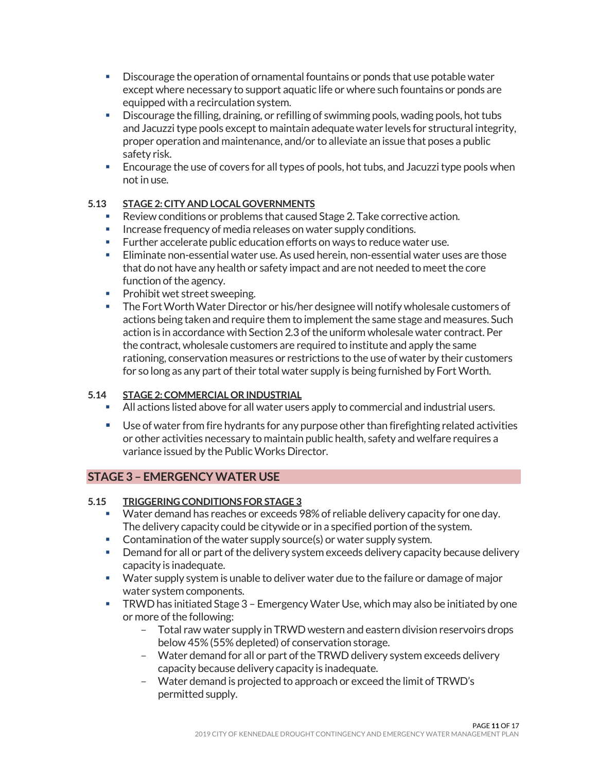- Discourage the operation of ornamental fountains or ponds that use potable water except where necessary to support aquatic life or where such fountains or ponds are equipped with a recirculation system.
- Discourage the filling, draining, or refilling of swimming pools, wading pools, hot tubs and Jacuzzi type pools except to maintain adequate water levels for structural integrity, proper operation and maintenance, and/or to alleviate an issue that poses a public safety risk.
- Encourage the use of covers for all types of pools, hot tubs, and Jacuzzi type pools when not in use.

# <span id="page-10-0"></span>**5.13 STAGE 2: CITY AND LOCAL GOVERNMENTS**

- Review conditions or problems that caused Stage 2. Take corrective action.
- **Increase frequency of media releases on water supply conditions.**
- **Further accelerate public education efforts on ways to reduce water use.**
- Eliminate non-essential water use. As used herein, non-essential water uses are those that do not have any health or safety impact and are not needed to meet the core function of the agency.
- **Prohibit wet street sweeping.**
- The Fort Worth Water Director or his/her designee will notify wholesale customers of actions being taken and require them to implement the same stage and measures. Such action is in accordance with Section 2.3 of the uniform wholesale water contract. Per the contract, wholesale customers are required to institute and apply the same rationing, conservation measures or restrictions to the use of water by their customers for so long as any part of their total water supply is being furnished by Fort Worth.

## <span id="page-10-1"></span>**5.14 STAGE 2: COMMERCIAL OR INDUSTRIAL**

- All actions listed above for all water users apply to commercial and industrial users.
- Use of water from fire hydrants for any purpose other than firefighting related activities or other activities necessary to maintain public health, safety and welfare requires a variance issued by the Public Works Director.

# <span id="page-10-2"></span>**STAGE 3 – EMERGENCY WATER USE**

## <span id="page-10-3"></span>**5.15 TRIGGERING CONDITIONS FOR STAGE 3**

- Water demand has reaches or exceeds 98% of reliable delivery capacity for one day. The delivery capacity could be citywide or in a specified portion of the system.
- Contamination of the water supply source(s) or water supply system.
- **Demand for all or part of the delivery system exceeds delivery capacity because delivery** capacity is inadequate.
- Water supply system is unable to deliver water due to the failure or damage of major water system components.
- TRWD has initiated Stage 3 Emergency Water Use, which may also be initiated by one or more of the following:
	- Total raw water supply in TRWD western and eastern division reservoirs drops below 45% (55% depleted) of conservation storage.
	- Water demand for all or part of the TRWD delivery system exceeds delivery capacity because delivery capacity is inadequate.
	- Water demand is projected to approach or exceed the limit of TRWD's permitted supply.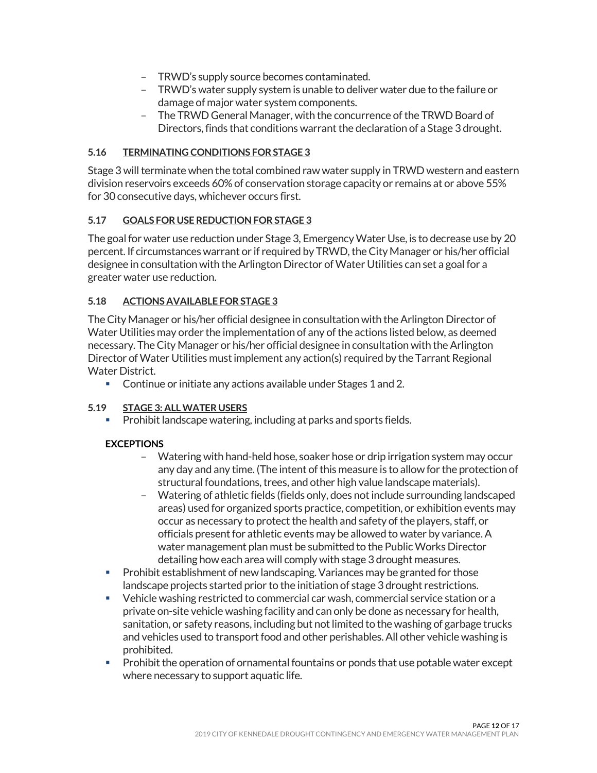- TRWD's supply source becomes contaminated.
- TRWD's water supply system is unable to deliver water due to the failure or damage of major water system components.
- The TRWD General Manager, with the concurrence of the TRWD Board of Directors, finds that conditions warrant the declaration of a Stage 3 drought.

# <span id="page-11-0"></span>**5.16 TERMINATING CONDITIONS FOR STAGE 3**

Stage 3 will terminate when the total combined raw water supply in TRWD western and eastern division reservoirs exceeds 60% of conservation storage capacity or remains at or above 55% for 30 consecutive days, whichever occurs first.

# <span id="page-11-1"></span>**5.17 GOALS FOR USE REDUCTION FOR STAGE 3**

The goal for water use reduction under Stage 3, Emergency Water Use, is to decrease use by 20 percent. If circumstances warrant or if required by TRWD, the City Manager or his/her official designee in consultation with the Arlington Director of Water Utilities can set a goal for a greater water use reduction.

# <span id="page-11-2"></span>**5.18 ACTIONS AVAILABLE FOR STAGE 3**

The City Manager or his/her official designee in consultation with the Arlington Director of Water Utilities may order the implementation of any of the actions listed below, as deemed necessary. The City Manager or his/her official designee in consultation with the Arlington Director of Water Utilities must implement any action(s) required by the Tarrant Regional Water District.

Continue or initiate any actions available under Stages 1 and 2.

## <span id="page-11-3"></span>**5.19 STAGE 3: ALL WATER USERS**

Prohibit landscape watering, including at parks and sports fields.

## **EXCEPTIONS**

- Watering with hand-held hose, soaker hose or drip irrigation system may occur any day and any time. (The intent of this measure is to allow for the protection of structural foundations, trees, and other high value landscape materials).
- Watering of athletic fields (fields only, does not include surrounding landscaped areas) used for organized sports practice, competition, or exhibition events may occur as necessary to protect the health and safety of the players, staff, or officials present for athletic events may be allowed to water by variance.A water management plan must be submitted to the Public Works Director detailing how each area will comply with stage 3 drought measures.
- **Prohibit establishment of new landscaping. Variances may be granted for those** landscape projects started prior to the initiation of stage 3 drought restrictions.
- Vehicle washing restricted to commercial car wash, commercial service station or a private on-site vehicle washing facility and can only be done as necessary for health, sanitation, or safety reasons, including but not limited to the washing of garbage trucks and vehicles used to transport food and other perishables. All other vehicle washing is prohibited.
- **Prohibit the operation of ornamental fountains or ponds that use potable water except** where necessary to support aquatic life.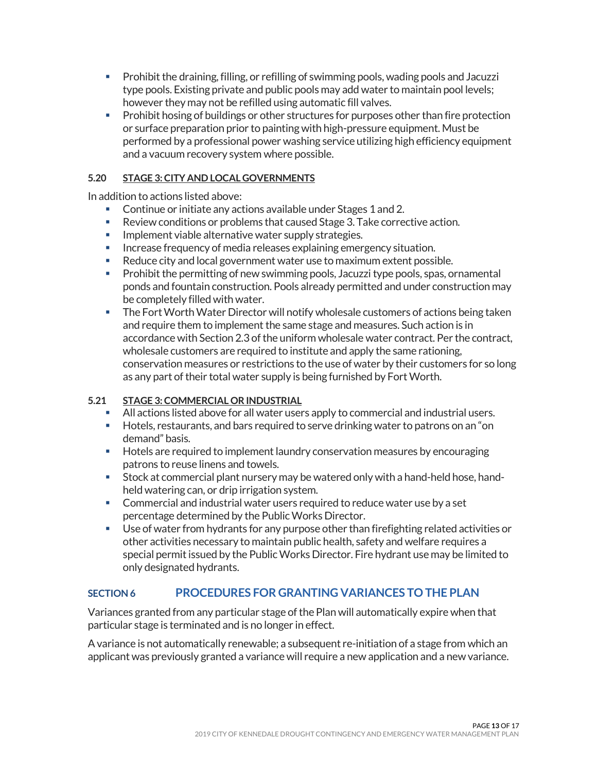- Prohibit the draining, filling, or refilling of swimming pools, wading pools and Jacuzzi type pools. Existing private and public pools may add water to maintain pool levels; however they may not be refilled using automatic fill valves.
- **Prohibit hosing of buildings or other structures for purposes other than fire protection** or surface preparation prior to painting with high-pressure equipment. Must be performed by a professional power washing service utilizing high efficiency equipment and a vacuum recovery system where possible.

## <span id="page-12-0"></span>**5.20 STAGE 3: CITY AND LOCAL GOVERNMENTS**

In addition to actions listed above:

- Continue or initiate any actions available under Stages 1 and 2.
- Review conditions or problems that caused Stage 3. Take corrective action.
- **Implement viable alternative water supply strategies.**
- **Increase frequency of media releases explaining emergency situation.**
- Reduce city and local government water use to maximum extent possible.
- **Prohibit the permitting of new swimming pools, Jacuzzi type pools, spas, ornamental** ponds and fountain construction. Pools already permitted and under construction may be completely filled with water.
- **The Fort Worth Water Director will notify wholesale customers of actions being taken** and require them to implement the same stage and measures. Such action is in accordance with Section 2.3 of the uniform wholesale water contract. Per the contract, wholesale customers are required to institute and apply the same rationing, conservation measures or restrictions to the use of water by their customers for so long as any part of their total water supply is being furnished by Fort Worth.

## <span id="page-12-1"></span>**5.21 STAGE 3: COMMERCIAL OR INDUSTRIAL**

- All actions listed above for all water users apply to commercial and industrial users.
- Hotels, restaurants, and bars required to serve drinking water to patrons on an "on demand" basis.
- Hotels are required to implement laundry conservation measures by encouraging patrons to reuse linens and towels.
- Stock at commercial plant nursery may be watered only with a hand-held hose, handheld watering can, or drip irrigation system.
- Commercial and industrial water users required to reduce water use by a set percentage determined by the Public Works Director.
- Use of water from hydrants for any purpose other than firefighting related activities or other activities necessary to maintain public health, safety and welfare requires a special permit issued by the PublicWorks Director. Fire hydrant use may be limited to only designated hydrants.

# <span id="page-12-2"></span>**SECTION 6 PROCEDURES FOR GRANTING VARIANCES TO THE PLAN**

Variances granted from any particular stage of the Plan will automatically expire when that particular stage is terminated and is no longer in effect.

A variance is not automatically renewable; a subsequent re-initiation of a stage from which an applicant was previously granted a variance will require a new application and a new variance.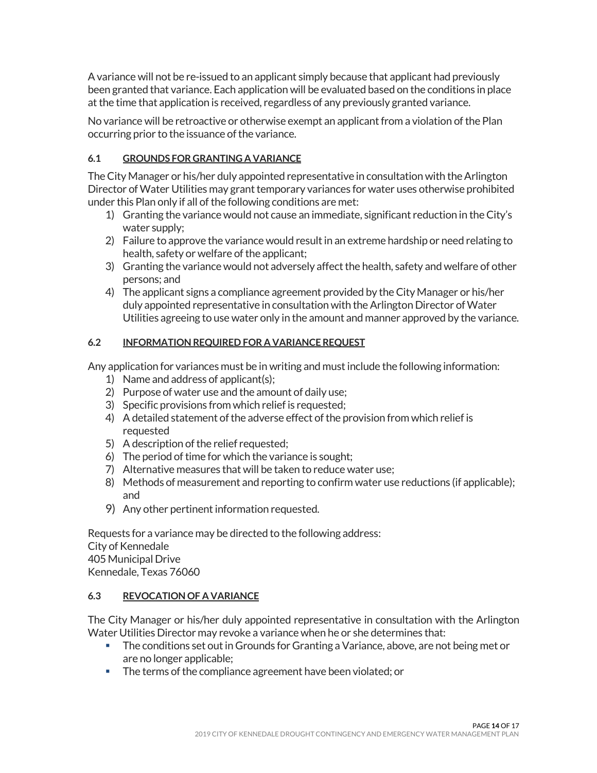A variance will not be re-issued to an applicant simply because that applicant had previously been granted that variance. Each application will be evaluated based on the conditions in place at the time that application is received, regardless of any previously granted variance.

No variance will be retroactive or otherwise exempt an applicant from a violation of the Plan occurring prior to the issuance of the variance.

# <span id="page-13-0"></span>**6.1 GROUNDS FOR GRANTING A VARIANCE**

The City Manager or his/her duly appointed representative in consultation with the Arlington Director of Water Utilities may grant temporary variances for water uses otherwise prohibited under this Plan only if all of the following conditions are met:

- 1) Granting the variance would not cause an immediate, significant reduction in the City's water supply;
- 2) Failure to approve the variance would result in an extreme hardship or need relating to health, safety or welfare of the applicant;
- 3) Granting the variance would not adversely affect the health, safety and welfare of other persons; and
- 4) The applicant signs a compliance agreement provided by the City Manager or his/her duly appointed representative in consultation with the Arlington Director of Water Utilities agreeing to use water only in the amount and manner approved by the variance.

# <span id="page-13-1"></span>**6.2 INFORMATION REQUIRED FOR A VARIANCE REQUEST**

Any application for variances must be in writing and must include the following information:

- 1) Name and address of applicant(s);
- 2) Purpose of water use and the amount of daily use;
- 3) Specific provisions from which relief is requested;
- 4) A detailed statement of the adverse effect of the provision from which relief is requested
- 5) A description of the relief requested;
- 6) The period of time for which the variance is sought;
- 7) Alternative measures that will be taken to reduce water use;
- 8) Methods of measurement and reporting to confirm water use reductions (if applicable); and
- 9) Any other pertinent information requested.

Requests for a variance may be directed to the following address: City of Kennedale 405 Municipal Drive Kennedale, Texas 76060

## <span id="page-13-2"></span>**6.3 REVOCATION OF A VARIANCE**

The City Manager or his/her duly appointed representative in consultation with the Arlington Water Utilities Director may revoke a variance when he or she determines that:

- **The conditions set out in Grounds for Granting a Variance, above, are not being met or** are no longer applicable;
- The terms of the compliance agreement have been violated; or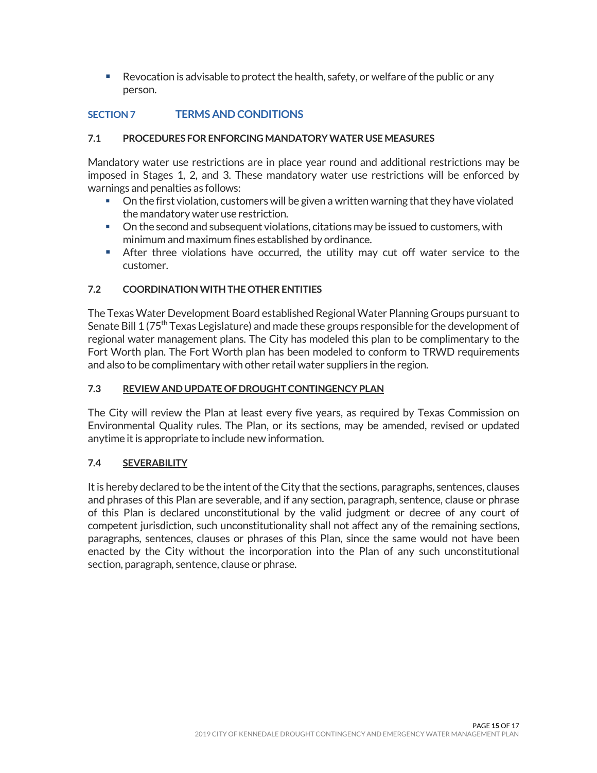Revocation is advisable to protect the health, safety, or welfare of the public or any person.

# <span id="page-14-0"></span>**SECTION 7 TERMS AND CONDITIONS**

## <span id="page-14-1"></span>**7.1 PROCEDURES FOR ENFORCING MANDATORY WATER USE MEASURES**

Mandatory water use restrictions are in place year round and additional restrictions may be imposed in Stages 1, 2, and 3. These mandatory water use restrictions will be enforced by warnings and penalties as follows:

- On the first violation, customers will be given a written warning that they have violated the mandatory water use restriction.
- On the second and subsequent violations, citations may be issued to customers, with minimum and maximum fines established by ordinance.
- After three violations have occurred, the utility may cut off water service to the customer.

# <span id="page-14-2"></span>**7.2 COORDINATION WITH THE OTHER ENTITIES**

The Texas Water Development Board established Regional Water Planning Groups pursuant to Senate Bill 1 (75<sup>th</sup> Texas Legislature) and made these groups responsible for the development of regional water management plans. The City has modeled this plan to be complimentary to the Fort Worth plan. The Fort Worth plan has been modeled to conform to TRWD requirements and also to be complimentary with other retail water suppliers in the region.

#### <span id="page-14-3"></span>**7.3 REVIEW AND UPDATE OF DROUGHT CONTINGENCY PLAN**

The City will review the Plan at least every five years, as required by Texas Commission on Environmental Quality rules. The Plan, or its sections, may be amended, revised or updated anytime it is appropriate to include new information.

## <span id="page-14-4"></span>**7.4 SEVERABILITY**

It is hereby declared to be the intent of the City that the sections, paragraphs, sentences, clauses and phrases of this Plan are severable, and if any section, paragraph, sentence, clause or phrase of this Plan is declared unconstitutional by the valid judgment or decree of any court of competent jurisdiction, such unconstitutionality shall not affect any of the remaining sections, paragraphs, sentences, clauses or phrases of this Plan, since the same would not have been enacted by the City without the incorporation into the Plan of any such unconstitutional section, paragraph, sentence, clause or phrase.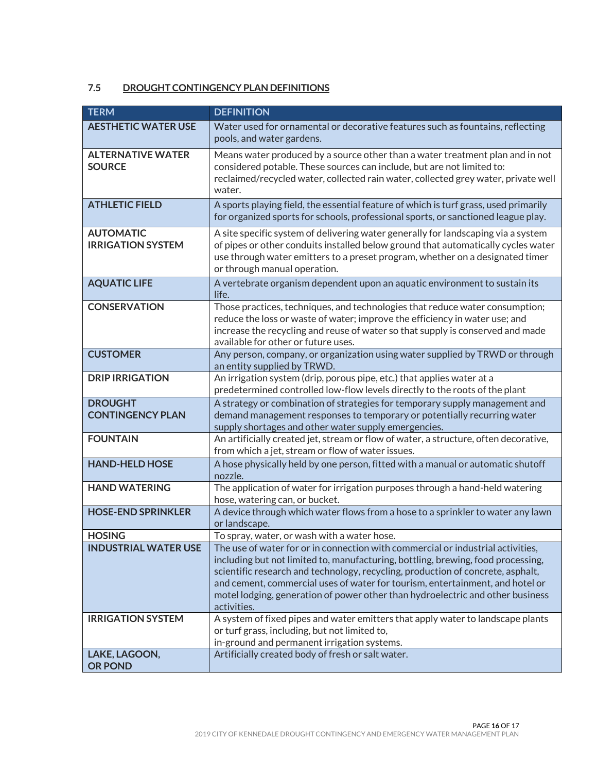# <span id="page-15-0"></span>**7.5 DROUGHT CONTINGENCY PLAN DEFINITIONS**

| <b>TERM</b>                                  | <b>DEFINITION</b>                                                                                                                                                                                                                                                                                                                                                                                                                        |
|----------------------------------------------|------------------------------------------------------------------------------------------------------------------------------------------------------------------------------------------------------------------------------------------------------------------------------------------------------------------------------------------------------------------------------------------------------------------------------------------|
| <b>AESTHETIC WATER USE</b>                   | Water used for ornamental or decorative features such as fountains, reflecting<br>pools, and water gardens.                                                                                                                                                                                                                                                                                                                              |
| <b>ALTERNATIVE WATER</b><br><b>SOURCE</b>    | Means water produced by a source other than a water treatment plan and in not<br>considered potable. These sources can include, but are not limited to:<br>reclaimed/recycled water, collected rain water, collected grey water, private well<br>water.                                                                                                                                                                                  |
| <b>ATHLETIC FIELD</b>                        | A sports playing field, the essential feature of which is turf grass, used primarily<br>for organized sports for schools, professional sports, or sanctioned league play.                                                                                                                                                                                                                                                                |
| <b>AUTOMATIC</b><br><b>IRRIGATION SYSTEM</b> | A site specific system of delivering water generally for landscaping via a system<br>of pipes or other conduits installed below ground that automatically cycles water<br>use through water emitters to a preset program, whether on a designated timer<br>or through manual operation.                                                                                                                                                  |
| <b>AQUATIC LIFE</b>                          | A vertebrate organism dependent upon an aquatic environment to sustain its<br>life.                                                                                                                                                                                                                                                                                                                                                      |
| <b>CONSERVATION</b>                          | Those practices, techniques, and technologies that reduce water consumption;<br>reduce the loss or waste of water; improve the efficiency in water use; and<br>increase the recycling and reuse of water so that supply is conserved and made<br>available for other or future uses.                                                                                                                                                     |
| <b>CUSTOMER</b>                              | Any person, company, or organization using water supplied by TRWD or through<br>an entity supplied by TRWD.                                                                                                                                                                                                                                                                                                                              |
| <b>DRIP IRRIGATION</b>                       | An irrigation system (drip, porous pipe, etc.) that applies water at a<br>predetermined controlled low-flow levels directly to the roots of the plant                                                                                                                                                                                                                                                                                    |
| <b>DROUGHT</b><br><b>CONTINGENCY PLAN</b>    | A strategy or combination of strategies for temporary supply management and<br>demand management responses to temporary or potentially recurring water<br>supply shortages and other water supply emergencies.                                                                                                                                                                                                                           |
| <b>FOUNTAIN</b>                              | An artificially created jet, stream or flow of water, a structure, often decorative,<br>from which a jet, stream or flow of water issues.                                                                                                                                                                                                                                                                                                |
| <b>HAND-HELD HOSE</b>                        | A hose physically held by one person, fitted with a manual or automatic shutoff<br>nozzle.                                                                                                                                                                                                                                                                                                                                               |
| <b>HAND WATERING</b>                         | The application of water for irrigation purposes through a hand-held watering<br>hose, watering can, or bucket.                                                                                                                                                                                                                                                                                                                          |
| <b>HOSE-END SPRINKLER</b>                    | A device through which water flows from a hose to a sprinkler to water any lawn<br>or landscape.                                                                                                                                                                                                                                                                                                                                         |
| <b>HOSING</b>                                | To spray, water, or wash with a water hose.                                                                                                                                                                                                                                                                                                                                                                                              |
| <b>INDUSTRIAL WATER USE</b>                  | The use of water for or in connection with commercial or industrial activities,<br>including but not limited to, manufacturing, bottling, brewing, food processing,<br>scientific research and technology, recycling, production of concrete, asphalt,<br>and cement, commercial uses of water for tourism, entertainment, and hotel or<br>motel lodging, generation of power other than hydroelectric and other business<br>activities. |
| <b>IRRIGATION SYSTEM</b>                     | A system of fixed pipes and water emitters that apply water to landscape plants<br>or turf grass, including, but not limited to,<br>in-ground and permanent irrigation systems.                                                                                                                                                                                                                                                          |
| LAKE, LAGOON,<br><b>OR POND</b>              | Artificially created body of fresh or salt water.                                                                                                                                                                                                                                                                                                                                                                                        |